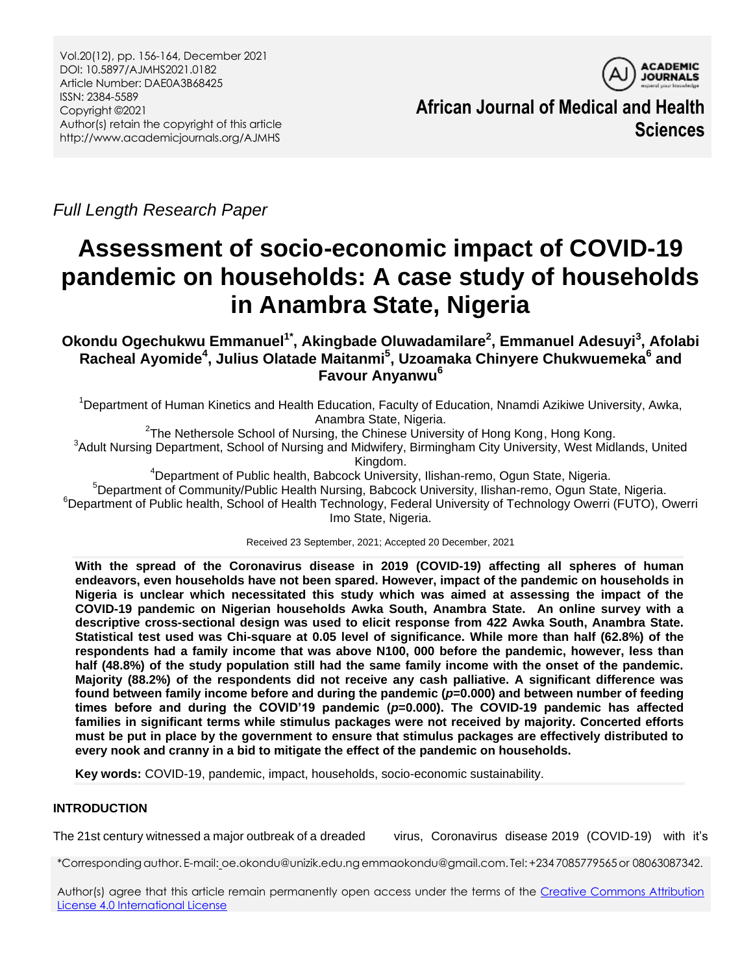

**African Journal of Medical and Health Sciences**

*Full Length Research Paper*

# **Assessment of socio-economic impact of COVID-19 pandemic on households: A case study of households in Anambra State, Nigeria**

# **Okondu Ogechukwu Emmanuel1\* , Akingbade Oluwadamilare<sup>2</sup> , Emmanuel Adesuyi<sup>3</sup> , Afolabi Racheal Ayomide<sup>4</sup> , Julius Olatade Maitanmi<sup>5</sup> , Uzoamaka Chinyere Chukwuemeka<sup>6</sup> and Favour Anyanwu<sup>6</sup>**

<sup>1</sup>Department of Human Kinetics and Health Education, Faculty of Education, Nnamdi Azikiwe University, Awka, Anambra State, Nigeria.

<sup>2</sup>The Nethersole School of Nursing, the Chinese University of Hong Kong, Hong Kong. <sup>3</sup>Adult Nursing Department, School of Nursing and Midwifery, Birmingham City University, West Midlands, United Kingdom.

<sup>4</sup>Department of Public health, Babcock University, Ilishan-remo, Ogun State, Nigeria.

<sup>5</sup>Department of Community/Public Health Nursing, Babcock University, Ilishan-remo, Ogun State, Nigeria.

<sup>6</sup>Department of Public health, School of Health Technology, Federal University of Technology Owerri (FUTO), Owerri Imo State, Nigeria.

Received 23 September, 2021; Accepted 20 December, 2021

**With the spread of the Coronavirus disease in 2019 (COVID-19) affecting all spheres of human endeavors, even households have not been spared. However, impact of the pandemic on households in Nigeria is unclear which necessitated this study which was aimed at assessing the impact of the COVID-19 pandemic on Nigerian households Awka South, Anambra State. An online survey with a descriptive cross-sectional design was used to elicit response from 422 Awka South, Anambra State. Statistical test used was Chi-square at 0.05 level of significance. While more than half (62.8%) of the respondents had a family income that was above N100, 000 before the pandemic, however, less than half (48.8%) of the study population still had the same family income with the onset of the pandemic. Majority (88.2%) of the respondents did not receive any cash palliative. A significant difference was found between family income before and during the pandemic (***p***=0.000) and between number of feeding times before and during the COVID'19 pandemic (***p***=0.000). The COVID-19 pandemic has affected families in significant terms while stimulus packages were not received by majority. Concerted efforts must be put in place by the government to ensure that stimulus packages are effectively distributed to every nook and cranny in a bid to mitigate the effect of the pandemic on households.** 

**Key words:** COVID-19, pandemic, impact, households, socio-economic sustainability.

## **INTRODUCTION**

The 21st century witnessed a major outbreak of a dreaded virus, Coronavirus disease 2019 (COVID-19) with it"s

\*Correspondingauthor. E-mail: oe.okondu@unizik.edu.ngemmaokondu@gmail.com. Tel:+234 7085779565or 08063087342.

Author(s) agree that this article remain permanently open access under the terms of the Creative Commons Attribution [License 4.0 International License](http://creativecommons.org/licenses/by/4.0/deed.en_US)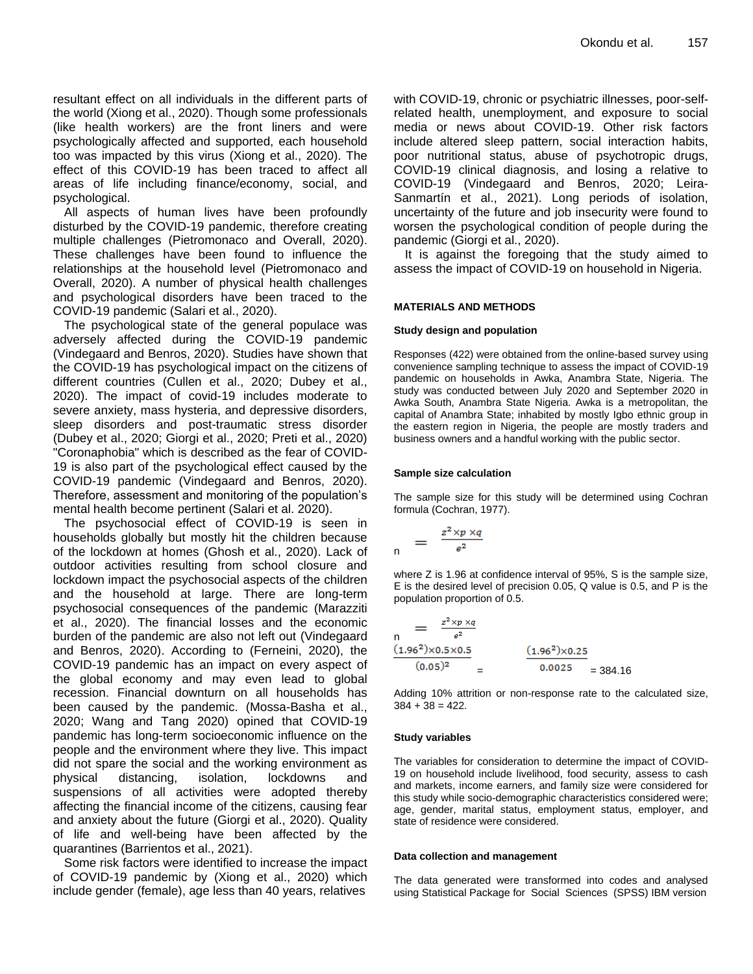resultant effect on all individuals in the different parts of the world (Xiong et al., 2020). Though some professionals (like health workers) are the front liners and were psychologically affected and supported, each household too was impacted by this virus (Xiong et al., 2020). The effect of this COVID-19 has been traced to affect all areas of life including finance/economy, social, and psychological.

All aspects of human lives have been profoundly disturbed by the COVID-19 pandemic, therefore creating multiple challenges (Pietromonaco and Overall, 2020). These challenges have been found to influence the relationships at the household level (Pietromonaco and Overall, 2020). A number of physical health challenges and psychological disorders have been traced to the COVID-19 pandemic (Salari et al., 2020).

The psychological state of the general populace was adversely affected during the COVID-19 pandemic (Vindegaard and Benros, 2020). Studies have shown that the COVID-19 has psychological impact on the citizens of different countries (Cullen et al., 2020; Dubey et al., 2020). The impact of covid-19 includes moderate to severe anxiety, mass hysteria, and depressive disorders, sleep disorders and post-traumatic stress disorder (Dubey et al., 2020; Giorgi et al., 2020; Preti et al., 2020) "Coronaphobia" which is described as the fear of COVID-19 is also part of the psychological effect caused by the COVID-19 pandemic (Vindegaard and Benros, 2020). Therefore, assessment and monitoring of the population"s mental health become pertinent (Salari et al. 2020).

The psychosocial effect of COVID-19 is seen in households globally but mostly hit the children because of the lockdown at homes (Ghosh et al., 2020). Lack of outdoor activities resulting from school closure and lockdown impact the psychosocial aspects of the children and the household at large. There are long-term psychosocial consequences of the pandemic (Marazziti et al., 2020). The financial losses and the economic burden of the pandemic are also not left out (Vindegaard and Benros, 2020). According to (Ferneini, 2020), the COVID-19 pandemic has an impact on every aspect of the global economy and may even lead to global recession. Financial downturn on all households has been caused by the pandemic. (Mossa-Basha et al., 2020; Wang and Tang 2020) opined that COVID-19 pandemic has long-term socioeconomic influence on the people and the environment where they live. This impact did not spare the social and the working environment as physical distancing, isolation, lockdowns and suspensions of all activities were adopted thereby affecting the financial income of the citizens, causing fear and anxiety about the future (Giorgi et al., 2020). Quality of life and well-being have been affected by the quarantines (Barrientos et al., 2021).

Some risk factors were identified to increase the impact of COVID-19 pandemic by (Xiong et al., 2020) which include gender (female), age less than 40 years, relatives

with COVID-19, chronic or psychiatric illnesses, poor-selfrelated health, unemployment, and exposure to social media or news about COVID-19. Other risk factors include altered sleep pattern, social interaction habits, poor nutritional status, abuse of psychotropic drugs, COVID-19 clinical diagnosis, and losing a relative to COVID-19 (Vindegaard and Benros, 2020; Leira-Sanmartín et al., 2021). Long periods of isolation, uncertainty of the future and job insecurity were found to worsen the psychological condition of people during the pandemic (Giorgi et al., 2020).

It is against the foregoing that the study aimed to assess the impact of COVID-19 on household in Nigeria.

#### **MATERIALS AND METHODS**

#### **Study design and population**

Responses (422) were obtained from the online-based survey using convenience sampling technique to assess the impact of COVID-19 pandemic on households in Awka, Anambra State, Nigeria. The study was conducted between July 2020 and September 2020 in Awka South, Anambra State Nigeria. Awka is a metropolitan, the capital of Anambra State; inhabited by mostly Igbo ethnic group in the eastern region in Nigeria, the people are mostly traders and business owners and a handful working with the public sector.

#### **Sample size calculation**

The sample size for this study will be determined using Cochran formula (Cochran, 1977).

$$
n = \frac{z^2 \times p \times q}{e^2}
$$

where Z is 1.96 at confidence interval of 95%, S is the sample size, E is the desired level of precision 0.05, Q value is 0.5, and P is the population proportion of 0.5.

$$
\frac{1}{\pi} = \frac{z^2 \times p \times q}{e^2}
$$
\n(1.96<sup>2</sup>)×0.5×0.5\n(0.05)<sup>2</sup> = 
$$
\frac{(1.962)×0.25}{0.0025} = 384.16
$$

Adding 10% attrition or non-response rate to the calculated size,  $384 + 38 = 422$ .

#### **Study variables**

The variables for consideration to determine the impact of COVID-19 on household include livelihood, food security, assess to cash and markets, income earners, and family size were considered for this study while socio-demographic characteristics considered were; age, gender, marital status, employment status, employer, and state of residence were considered.

#### **Data collection and management**

The data generated were transformed into codes and analysed using Statistical Package for Social Sciences (SPSS) IBM version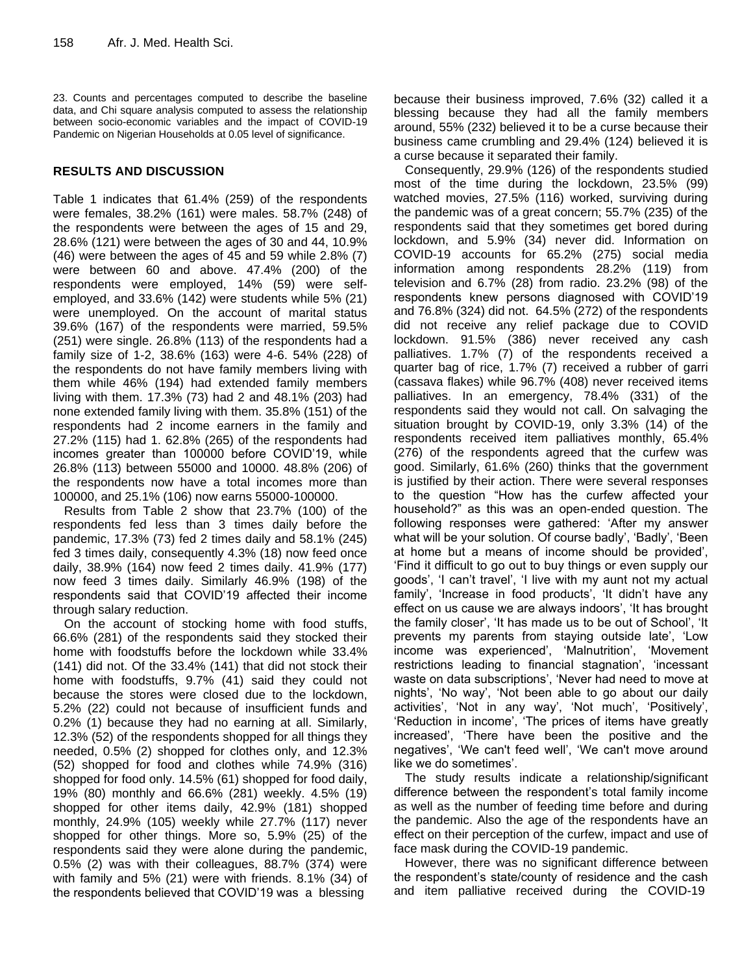23. Counts and percentages computed to describe the baseline data, and Chi square analysis computed to assess the relationship between socio-economic variables and the impact of COVID-19 Pandemic on Nigerian Households at 0.05 level of significance.

## **RESULTS AND DISCUSSION**

Table 1 indicates that 61.4% (259) of the respondents were females, 38.2% (161) were males. 58.7% (248) of the respondents were between the ages of 15 and 29, 28.6% (121) were between the ages of 30 and 44, 10.9% (46) were between the ages of 45 and 59 while 2.8% (7) were between 60 and above. 47.4% (200) of the respondents were employed, 14% (59) were selfemployed, and 33.6% (142) were students while 5% (21) were unemployed. On the account of marital status 39.6% (167) of the respondents were married, 59.5% (251) were single. 26.8% (113) of the respondents had a family size of 1-2, 38.6% (163) were 4-6. 54% (228) of the respondents do not have family members living with them while 46% (194) had extended family members living with them. 17.3% (73) had 2 and 48.1% (203) had none extended family living with them. 35.8% (151) of the respondents had 2 income earners in the family and 27.2% (115) had 1. 62.8% (265) of the respondents had incomes greater than 100000 before COVID"19, while 26.8% (113) between 55000 and 10000. 48.8% (206) of the respondents now have a total incomes more than 100000, and 25.1% (106) now earns 55000-100000.

Results from Table 2 show that 23.7% (100) of the respondents fed less than 3 times daily before the pandemic, 17.3% (73) fed 2 times daily and 58.1% (245) fed 3 times daily, consequently 4.3% (18) now feed once daily, 38.9% (164) now feed 2 times daily. 41.9% (177) now feed 3 times daily. Similarly 46.9% (198) of the respondents said that COVID"19 affected their income through salary reduction.

On the account of stocking home with food stuffs, 66.6% (281) of the respondents said they stocked their home with foodstuffs before the lockdown while 33.4% (141) did not. Of the 33.4% (141) that did not stock their home with foodstuffs, 9.7% (41) said they could not because the stores were closed due to the lockdown, 5.2% (22) could not because of insufficient funds and 0.2% (1) because they had no earning at all. Similarly, 12.3% (52) of the respondents shopped for all things they needed, 0.5% (2) shopped for clothes only, and 12.3% (52) shopped for food and clothes while 74.9% (316) shopped for food only. 14.5% (61) shopped for food daily, 19% (80) monthly and 66.6% (281) weekly. 4.5% (19) shopped for other items daily, 42.9% (181) shopped monthly, 24.9% (105) weekly while 27.7% (117) never shopped for other things. More so, 5.9% (25) of the respondents said they were alone during the pandemic, 0.5% (2) was with their colleagues, 88.7% (374) were with family and 5% (21) were with friends. 8.1% (34) of the respondents believed that COVID"19 was a blessing

because their business improved, 7.6% (32) called it a blessing because they had all the family members around, 55% (232) believed it to be a curse because their business came crumbling and 29.4% (124) believed it is a curse because it separated their family.

Consequently, 29.9% (126) of the respondents studied most of the time during the lockdown, 23.5% (99) watched movies, 27.5% (116) worked, surviving during the pandemic was of a great concern; 55.7% (235) of the respondents said that they sometimes get bored during lockdown, and 5.9% (34) never did. Information on COVID-19 accounts for 65.2% (275) social media information among respondents 28.2% (119) from television and 6.7% (28) from radio. 23.2% (98) of the respondents knew persons diagnosed with COVID"19 and 76.8% (324) did not. 64.5% (272) of the respondents did not receive any relief package due to COVID lockdown. 91.5% (386) never received any cash palliatives. 1.7% (7) of the respondents received a quarter bag of rice, 1.7% (7) received a rubber of garri (cassava flakes) while 96.7% (408) never received items palliatives. In an emergency, 78.4% (331) of the respondents said they would not call. On salvaging the situation brought by COVID-19, only 3.3% (14) of the respondents received item palliatives monthly, 65.4% (276) of the respondents agreed that the curfew was good. Similarly, 61.6% (260) thinks that the government is justified by their action. There were several responses to the question "How has the curfew affected your household?" as this was an open-ended question. The following responses were gathered: "After my answer what will be your solution. Of course badly", "Badly", "Been at home but a means of income should be provided", "Find it difficult to go out to buy things or even supply our goods', 'I can't travel', 'I live with my aunt not my actual family', 'Increase in food products', 'It didn't have any effect on us cause we are always indoors', 'It has brought the family closer", "It has made us to be out of School", "It prevents my parents from staying outside late", "Low income was experienced", "Malnutrition", "Movement restrictions leading to financial stagnation", "incessant waste on data subscriptions', 'Never had need to move at nights', 'No way', 'Not been able to go about our daily activities', 'Not in any way', 'Not much', 'Positively', 'Reduction in income', 'The prices of items have greatly increased", "There have been the positive and the negatives', 'We can't feed well', 'We can't move around like we do sometimes'.

The study results indicate a relationship/significant difference between the respondent"s total family income as well as the number of feeding time before and during the pandemic. Also the age of the respondents have an effect on their perception of the curfew, impact and use of face mask during the COVID-19 pandemic.

However, there was no significant difference between the respondent"s state/county of residence and the cash and item palliative received during the COVID-19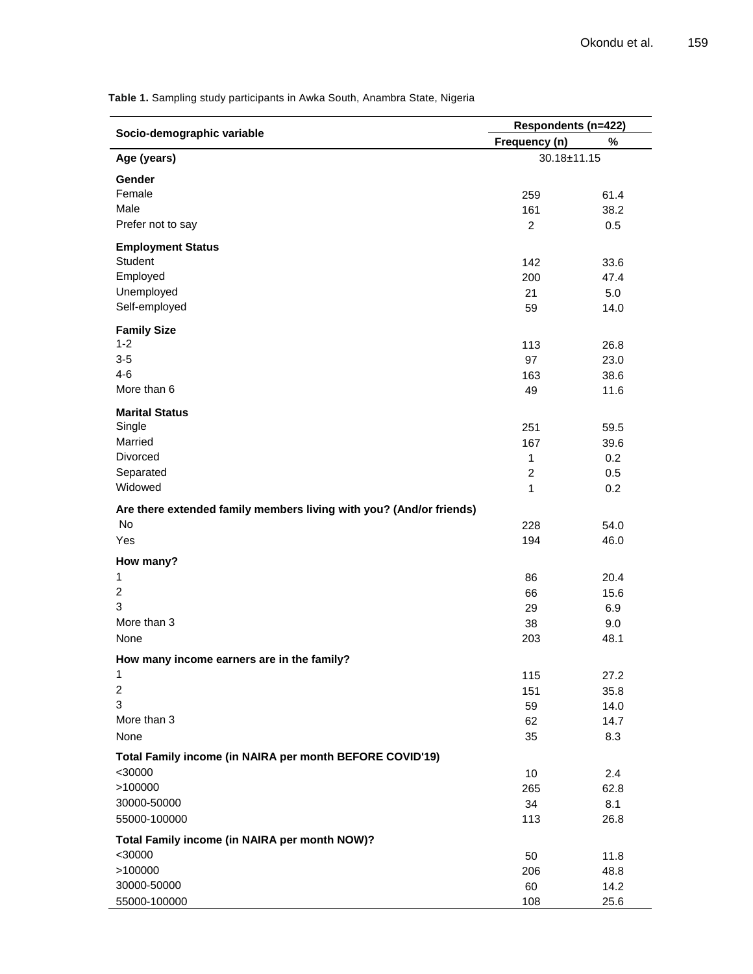**Socio-demographic variable Respondents (n=422) Frequency (n) % Age (years)** 30.18±11.15 **Gender**   $F$ emale  $259$  61.4 Male  $\qquad \qquad \qquad$  161  $\qquad \qquad$  38.2 Prefer not to say 0.5 **Employment Status** Student 233.6 Student 2002 142 33.6 Employed 200 47.4 Unemployed 5.0 Self-employed 14.0 **Family Size**  $1-2$  113 26.8  $3-5$  23.0  $4-6$  38.6 More than 6  $\overline{49}$  11.6 **Marital Status** Single 251 59.5 Second Contract of the Contract of the Contract of the Contract of the Contract of the Contract of the Contract of the Contract of the Contract of the Contract of the Contract of the Contract of the Contrac Married 2008 **Married** 2008 **167** 39.6 Divorced 1 0.2 Separated 2 0.5  $N$ idowed  $1$  0.2 **Are there extended family members living with you? (And/or friends)** No  $228$  54.0  $\gamma$ es 194 and 194 and 194 and 194 and 194 and 194 and 194 and 194 and 194 and 194 and 194 and 194 and 194 and 194 and 195 and 196 and 196 and 196 and 196 and 196 and 197 and 198 and 198 and 198 and 198 and 198 and 198 an **How many?** 1 86  $20.4$ 2 66 15.6  $3$  29 6.9 More than 3  $\qquad \qquad$  9.0 None 203 48.1 **How many income earners are in the family?** 1 115 27.2 2 151 35.8  $3$  59 14.0 More than 3  $\hphantom{\text{a}}\qquad \qquad \text{a}}$  14.7 None  $35$  8.3 **Total Family income (in NAIRA per month BEFORE COVID'19)**  $\leq$ 30000 2.4 >100000 265 62.8 30000-50000 34 8.1 55000-100000 113 26.8 **Total Family income (in NAIRA per month NOW)?**  $\approx$  30000 50 11.8  $>100000$  and the contract of the contract of the contract of the contract of the contract of the contract of the contract of the contract of the contract of the contract of the contract of the contract of the contract of 30000-50000 60 14.2 55000-100000 108 25.6

**Table 1.** Sampling study participants in Awka South, Anambra State, Nigeria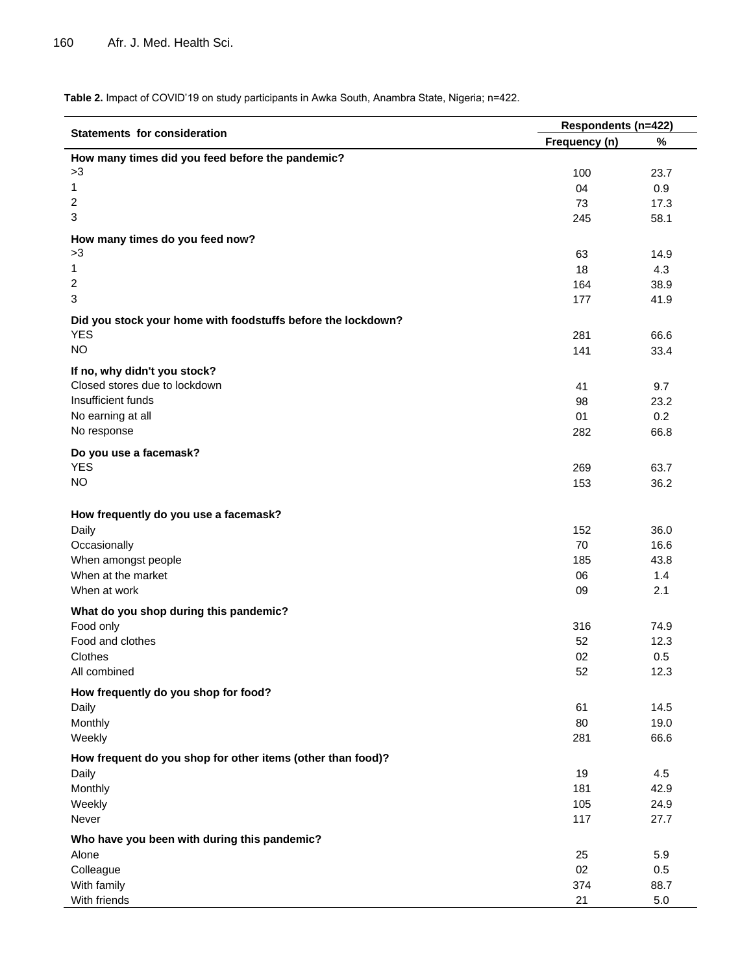**Table 2.** Impact of COVID"19 on study participants in Awka South, Anambra State, Nigeria; n=422.

|                                                              | Respondents (n=422) |      |  |
|--------------------------------------------------------------|---------------------|------|--|
| Statements for consideration                                 | Frequency (n)       | $\%$ |  |
| How many times did you feed before the pandemic?             |                     |      |  |
| >3                                                           | 100                 | 23.7 |  |
| 1                                                            | 04                  | 0.9  |  |
| 2                                                            | 73                  | 17.3 |  |
| 3                                                            | 245                 | 58.1 |  |
| How many times do you feed now?                              |                     |      |  |
| >3                                                           | 63                  | 14.9 |  |
| $\mathbf{1}$                                                 | 18                  | 4.3  |  |
| 2                                                            | 164                 | 38.9 |  |
| 3                                                            | 177                 | 41.9 |  |
| Did you stock your home with foodstuffs before the lockdown? |                     |      |  |
| <b>YES</b>                                                   | 281                 | 66.6 |  |
| <b>NO</b>                                                    | 141                 | 33.4 |  |
| If no, why didn't you stock?                                 |                     |      |  |
| Closed stores due to lockdown                                | 41                  | 9.7  |  |
| Insufficient funds                                           | 98                  | 23.2 |  |
| No earning at all                                            | 01                  | 0.2  |  |
| No response                                                  | 282                 | 66.8 |  |
|                                                              |                     |      |  |
| Do you use a facemask?                                       |                     |      |  |
| <b>YES</b><br><b>NO</b>                                      | 269                 | 63.7 |  |
|                                                              | 153                 | 36.2 |  |
|                                                              |                     |      |  |
| How frequently do you use a facemask?                        | 152                 | 36.0 |  |
| Daily<br>Occasionally                                        | 70                  | 16.6 |  |
| When amongst people                                          | 185                 | 43.8 |  |
| When at the market                                           | 06                  | 1.4  |  |
| When at work                                                 | 09                  | 2.1  |  |
|                                                              |                     |      |  |
| What do you shop during this pandemic?                       |                     |      |  |
| Food only                                                    | 316                 | 74.9 |  |
| Food and clothes                                             | 52                  | 12.3 |  |
| Clothes                                                      | 02                  | 0.5  |  |
| All combined                                                 | 52                  | 12.3 |  |
| How frequently do you shop for food?                         |                     |      |  |
| Daily                                                        | 61                  | 14.5 |  |
| Monthly                                                      | 80                  | 19.0 |  |
| Weekly                                                       | 281                 | 66.6 |  |
| How frequent do you shop for other items (other than food)?  |                     |      |  |
| Daily                                                        | 19                  | 4.5  |  |
| Monthly                                                      | 181                 | 42.9 |  |
| Weekly                                                       | 105                 | 24.9 |  |
| Never                                                        | 117                 | 27.7 |  |
| Who have you been with during this pandemic?                 |                     |      |  |
| Alone                                                        | 25                  | 5.9  |  |
| Colleague                                                    | 02                  | 0.5  |  |
| With family                                                  | 374                 | 88.7 |  |
| With friends                                                 | 21                  | 5.0  |  |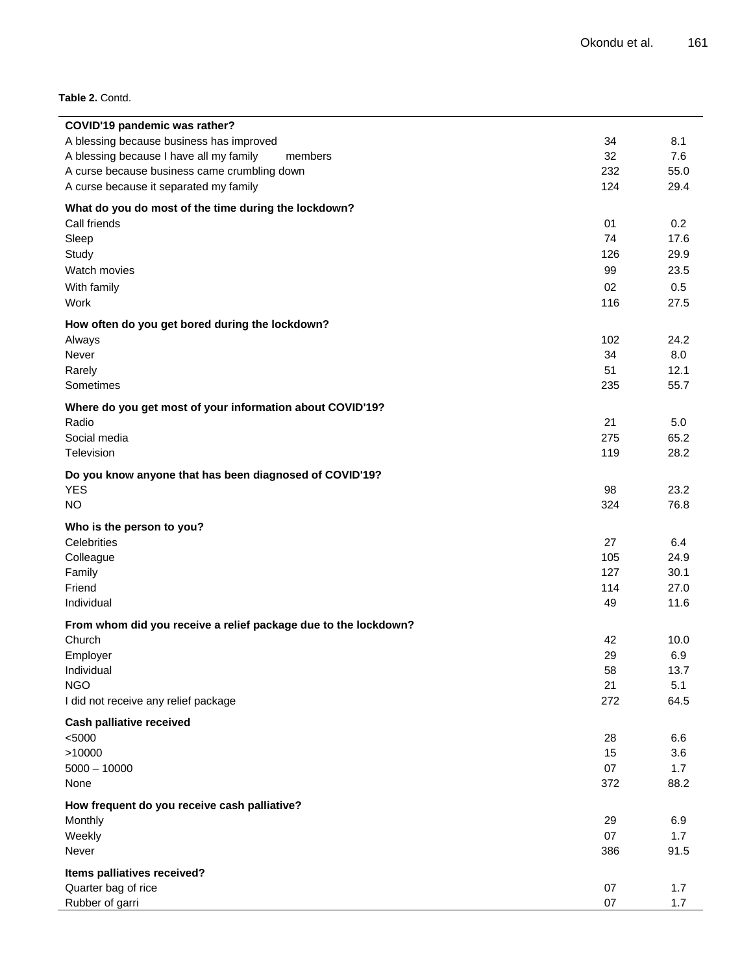**Table 2.** Contd.

| COVID'19 pandemic was rather?                                   |     |      |
|-----------------------------------------------------------------|-----|------|
| A blessing because business has improved                        | 34  | 8.1  |
| A blessing because I have all my family<br>members              | 32  | 7.6  |
| A curse because business came crumbling down                    | 232 | 55.0 |
| A curse because it separated my family                          | 124 | 29.4 |
| What do you do most of the time during the lockdown?            |     |      |
| Call friends                                                    | 01  | 0.2  |
| Sleep                                                           | 74  | 17.6 |
| Study                                                           | 126 | 29.9 |
| Watch movies                                                    | 99  | 23.5 |
| With family                                                     | 02  | 0.5  |
| Work                                                            | 116 | 27.5 |
| How often do you get bored during the lockdown?                 |     |      |
| Always                                                          | 102 | 24.2 |
| Never                                                           | 34  | 8.0  |
| Rarely                                                          | 51  | 12.1 |
| Sometimes                                                       | 235 | 55.7 |
| Where do you get most of your information about COVID'19?       |     |      |
| Radio                                                           | 21  | 5.0  |
| Social media                                                    | 275 | 65.2 |
| Television                                                      | 119 | 28.2 |
|                                                                 |     |      |
| Do you know anyone that has been diagnosed of COVID'19?         |     |      |
| <b>YES</b>                                                      | 98  | 23.2 |
| <b>NO</b>                                                       | 324 | 76.8 |
| Who is the person to you?                                       |     |      |
| Celebrities                                                     | 27  | 6.4  |
| Colleague                                                       | 105 | 24.9 |
| Family                                                          | 127 | 30.1 |
| Friend                                                          | 114 | 27.0 |
| Individual                                                      | 49  | 11.6 |
| From whom did you receive a relief package due to the lockdown? |     |      |
| Church                                                          | 42  | 10.0 |
| Employer                                                        | 29  | 6.9  |
| Individual                                                      | 58  | 13.7 |
| <b>NGO</b>                                                      | 21  | 5.1  |
| I did not receive any relief package                            | 272 | 64.5 |
| <b>Cash palliative received</b>                                 |     |      |
| < 5000                                                          | 28  | 6.6  |
| >10000                                                          | 15  | 3.6  |
| $5000 - 10000$                                                  | 07  | 1.7  |
| None                                                            | 372 | 88.2 |
|                                                                 |     |      |
| How frequent do you receive cash palliative?                    |     |      |
| Monthly                                                         | 29  | 6.9  |
| Weekly                                                          | 07  | 1.7  |
| Never                                                           | 386 | 91.5 |
| Items palliatives received?                                     |     |      |
| Quarter bag of rice                                             | 07  | 1.7  |
| Rubber of garri                                                 | 07  | 1.7  |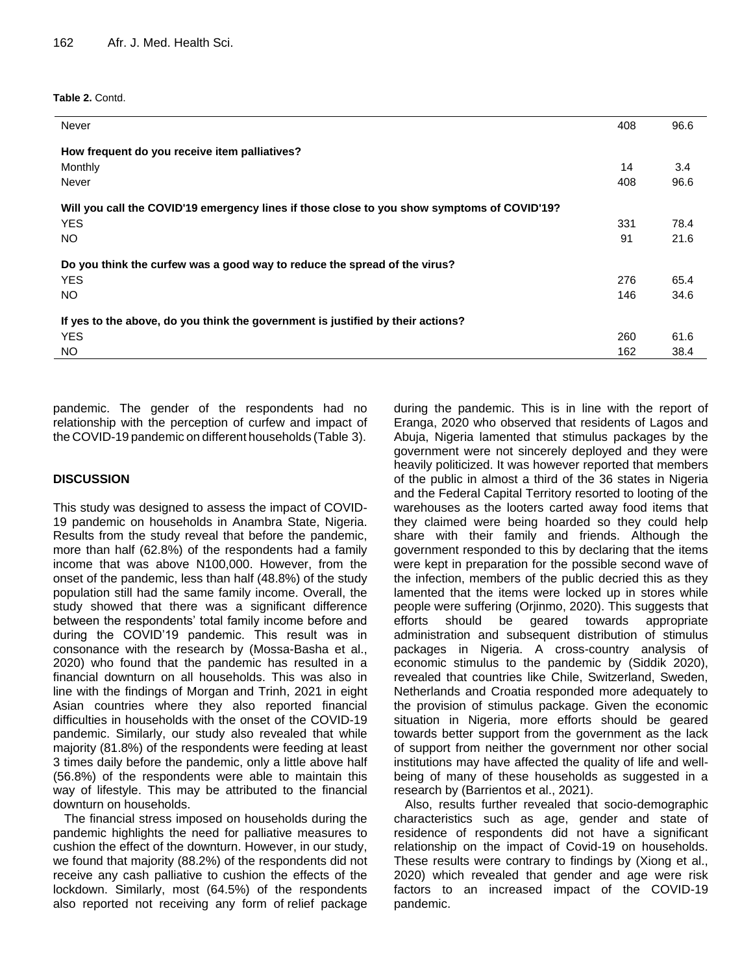**Table 2.** Contd.

| Never                                                                                       | 408 | 96.6 |
|---------------------------------------------------------------------------------------------|-----|------|
| How frequent do you receive item palliatives?                                               |     |      |
| Monthly                                                                                     | 14  | 3.4  |
| Never                                                                                       | 408 | 96.6 |
| Will you call the COVID'19 emergency lines if those close to you show symptoms of COVID'19? |     |      |
| <b>YES</b>                                                                                  | 331 | 78.4 |
| NO.                                                                                         | 91  | 21.6 |
| Do you think the curfew was a good way to reduce the spread of the virus?                   |     |      |
| <b>YES</b>                                                                                  | 276 | 65.4 |
| NO.                                                                                         | 146 | 34.6 |
| If yes to the above, do you think the government is justified by their actions?             |     |      |
| <b>YES</b>                                                                                  | 260 | 61.6 |
| NO.                                                                                         | 162 | 38.4 |
|                                                                                             |     |      |

pandemic. The gender of the respondents had no relationship with the perception of curfew and impact of the COVID-19 pandemic on different households (Table 3).

## **DISCUSSION**

This study was designed to assess the impact of COVID-19 pandemic on households in Anambra State, Nigeria. Results from the study reveal that before the pandemic, more than half (62.8%) of the respondents had a family income that was above N100,000. However, from the onset of the pandemic, less than half (48.8%) of the study population still had the same family income. Overall, the study showed that there was a significant difference between the respondents' total family income before and during the COVID"19 pandemic. This result was in consonance with the research by (Mossa-Basha et al., 2020) who found that the pandemic has resulted in a financial downturn on all households. This was also in line with the findings of Morgan and Trinh, 2021 in eight Asian countries where they also reported financial difficulties in households with the onset of the COVID-19 pandemic. Similarly, our study also revealed that while majority (81.8%) of the respondents were feeding at least 3 times daily before the pandemic, only a little above half (56.8%) of the respondents were able to maintain this way of lifestyle. This may be attributed to the financial downturn on households.

The financial stress imposed on households during the pandemic highlights the need for palliative measures to cushion the effect of the downturn. However, in our study, we found that majority (88.2%) of the respondents did not receive any cash palliative to cushion the effects of the lockdown. Similarly, most (64.5%) of the respondents also reported not receiving any form of relief package

during the pandemic. This is in line with the report of Eranga, 2020 who observed that residents of Lagos and Abuja, Nigeria lamented that stimulus packages by the government were not sincerely deployed and they were heavily politicized. It was however reported that members of the public in almost a third of the 36 states in Nigeria and the Federal Capital Territory resorted to looting of the warehouses as the looters carted away food items that they claimed were being hoarded so they could help share with their family and friends. Although the government responded to this by declaring that the items were kept in preparation for the possible second wave of the infection, members of the public decried this as they lamented that the items were locked up in stores while people were suffering (Orjinmo, 2020). This suggests that efforts should be geared towards appropriate administration and subsequent distribution of stimulus packages in Nigeria. A cross-country analysis of economic stimulus to the pandemic by (Siddik 2020), revealed that countries like Chile, Switzerland, Sweden, Netherlands and Croatia responded more adequately to the provision of stimulus package. Given the economic situation in Nigeria, more efforts should be geared towards better support from the government as the lack of support from neither the government nor other social institutions may have affected the quality of life and wellbeing of many of these households as suggested in a research by (Barrientos et al., 2021).

Also, results further revealed that socio-demographic characteristics such as age, gender and state of residence of respondents did not have a significant relationship on the impact of Covid-19 on households. These results were contrary to findings by (Xiong et al., 2020) which revealed that gender and age were risk factors to an increased impact of the COVID-19 pandemic.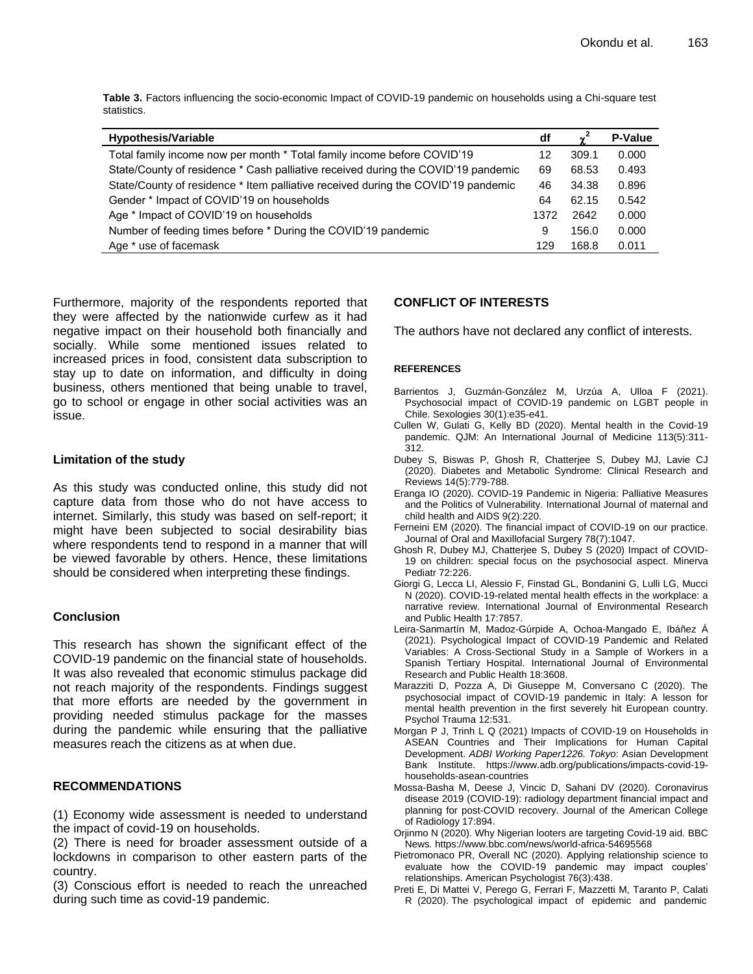**Table 3.** Factors influencing the socio-economic Impact of COVID-19 pandemic on households using a Chi-square test statistics.

| <b>Hypothesis/Variable</b>                                                        | df   |       | <b>P-Value</b> |
|-----------------------------------------------------------------------------------|------|-------|----------------|
| Total family income now per month * Total family income before COVID'19           | 12   | 309.1 | 0.000          |
| State/County of residence * Cash palliative received during the COVID'19 pandemic | 69   | 68.53 | 0.493          |
| State/County of residence * Item palliative received during the COVID'19 pandemic | 46   | 34.38 | 0.896          |
| Gender * Impact of COVID'19 on households                                         | 64   | 62.15 | 0.542          |
| Age * Impact of COVID'19 on households                                            | 1372 | 2642  | 0.000          |
| Number of feeding times before * During the COVID'19 pandemic                     | 9    | 156.0 | 0.000          |
| Age * use of facemask                                                             | 129  | 168.8 | 0.011          |

Furthermore, majority of the respondents reported that they were affected by the nationwide curfew as it had negative impact on their household both financially and socially. While some mentioned issues related to increased prices in food, consistent data subscription to stay up to date on information, and difficulty in doing business, others mentioned that being unable to travel, go to school or engage in other social activities was an issue.

### **Limitation of the study**

As this study was conducted online, this study did not capture data from those who do not have access to internet. Similarly, this study was based on self-report; it might have been subjected to social desirability bias where respondents tend to respond in a manner that will be viewed favorable by others. Hence, these limitations should be considered when interpreting these findings.

## **Conclusion**

This research has shown the significant effect of the COVID-19 pandemic on the financial state of households. It was also revealed that economic stimulus package did not reach majority of the respondents. Findings suggest that more efforts are needed by the government in providing needed stimulus package for the masses during the pandemic while ensuring that the palliative measures reach the citizens as at when due.

## **RECOMMENDATIONS**

(1) Economy wide assessment is needed to understand the impact of covid-19 on households.

(2) There is need for broader assessment outside of a lockdowns in comparison to other eastern parts of the country.

(3) Conscious effort is needed to reach the unreached during such time as covid-19 pandemic.

## **CONFLICT OF INTERESTS**

The authors have not declared any conflict of interests.

#### **REFERENCES**

- Barrientos J, Guzmán-González M, Urzúa A, Ulloa F (2021). Psychosocial impact of COVID-19 pandemic on LGBT people in Chile. Sexologies 30(1):e35-e41.
- Cullen W, Gulati G, Kelly BD (2020). Mental health in the Covid-19 pandemic. QJM: An International Journal of Medicine 113(5):311- 312.
- Dubey S, Biswas P, Ghosh R, Chatterjee S, Dubey MJ, Lavie CJ (2020). Diabetes and Metabolic Syndrome: Clinical Research and Reviews 14(5):779-788.
- Eranga IO (2020). COVID-19 Pandemic in Nigeria: Palliative Measures and the Politics of Vulnerability. International Journal of maternal and child health and AIDS 9(2):220.
- Ferneini EM (2020). The financial impact of COVID-19 on our practice. Journal of Oral and Maxillofacial Surgery 78(7):1047.
- Ghosh R, Dubey MJ, Chatterjee S, Dubey S (2020) Impact of COVID-19 on children: special focus on the psychosocial aspect. Minerva Pediatr 72:226.
- Giorgi G, Lecca LI, Alessio F, Finstad GL, Bondanini G, Lulli LG, Mucci N (2020). COVID-19-related mental health effects in the workplace: a narrative review. International Journal of Environmental Research and Public Health 17:7857.
- Leira-Sanmartín M, Madoz-Gúrpide A, Ochoa-Mangado E, Ibáñez Á (2021). Psychological Impact of COVID-19 Pandemic and Related Variables: A Cross-Sectional Study in a Sample of Workers in a Spanish Tertiary Hospital. International Journal of Environmental Research and Public Health 18:3608.
- Marazziti D, Pozza A, Di Giuseppe M, Conversano C (2020). The psychosocial impact of COVID-19 pandemic in Italy: A lesson for mental health prevention in the first severely hit European country. Psychol Trauma 12:531.
- Morgan P J, Trinh L Q (2021) Impacts of COVID-19 on Households in ASEAN Countries and Their Implications for Human Capital Development. *ADBI Working Paper1226. Tokyo*: Asian Development Bank Institute. [https://www.adb.org/publications/impacts-covid-19](https://www.adb.org/publications/impacts-covid-19-households-asean-countries) [households-asean-countries](https://www.adb.org/publications/impacts-covid-19-households-asean-countries)
- Mossa-Basha M, Deese J, Vincic D, Sahani DV (2020). Coronavirus disease 2019 (COVID-19): radiology department financial impact and planning for post-COVID recovery. Journal of the American College of Radiology 17:894.
- Orjinmo N (2020). Why Nigerian looters are targeting Covid-19 aid. BBC News*.* <https://www.bbc.com/news/world-africa-54695568>
- Pietromonaco PR, Overall NC (2020). Applying relationship science to evaluate how the COVID-19 pandemic may impact couples" relationships. American Psychologist 76(3):438.
- Preti E, Di Mattei V, Perego G, Ferrari F, Mazzetti M, Taranto P, Calati R (2020). The psychological impact of epidemic and pandemic